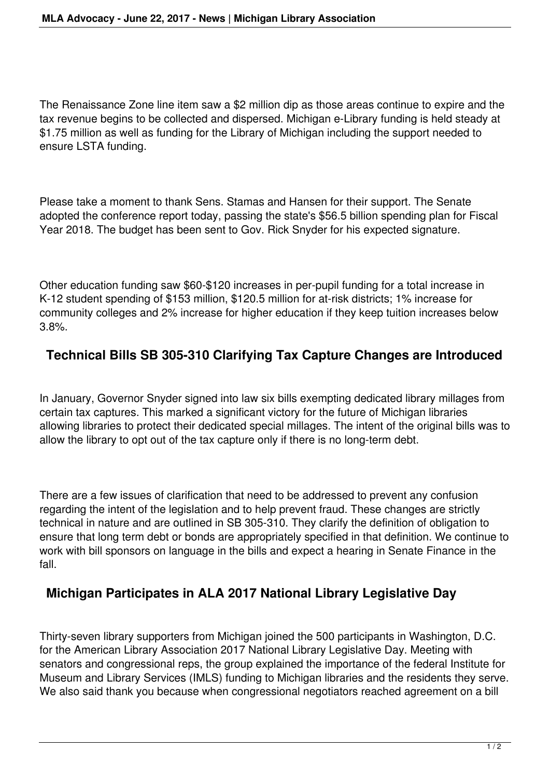The Renaissance Zone line item saw a \$2 million dip as those areas continue to expire and the tax revenue begins to be collected and dispersed. Michigan e-Library funding is held steady at \$1.75 million as well as funding for the Library of Michigan including the support needed to ensure LSTA funding.

Please take a moment to thank Sens. Stamas and Hansen for their support. The Senate adopted the conference report today, passing the state's \$56.5 billion spending plan for Fiscal Year 2018. The budget has been sent to Gov. Rick Snyder for his expected signature.

Other education funding saw \$60-\$120 increases in per-pupil funding for a total increase in K-12 student spending of \$153 million, \$120.5 million for at-risk districts; 1% increase for community colleges and 2% increase for higher education if they keep tuition increases below 3.8%.

## **Technical Bills SB 305-310 Clarifying Tax Capture Changes are Introduced**

In January, Governor Snyder signed into law six bills exempting dedicated library millages from certain tax captures. This marked a significant victory for the future of Michigan libraries allowing libraries to protect their dedicated special millages. The intent of the original bills was to allow the library to opt out of the tax capture only if there is no long-term debt.

There are a few issues of clarification that need to be addressed to prevent any confusion regarding the intent of the legislation and to help prevent fraud. These changes are strictly technical in nature and are outlined in SB 305-310. They clarify the definition of obligation to ensure that long term debt or bonds are appropriately specified in that definition. We continue to work with bill sponsors on language in the bills and expect a hearing in Senate Finance in the fall.

## **Michigan Participates in ALA 2017 National Library Legislative Day**

Thirty-seven library supporters from Michigan joined the 500 participants in Washington, D.C. for the American Library Association 2017 National Library Legislative Day. Meeting with senators and congressional reps, the group explained the importance of the federal Institute for Museum and Library Services (IMLS) funding to Michigan libraries and the residents they serve. We also said thank you because when congressional negotiators reached agreement on a bill